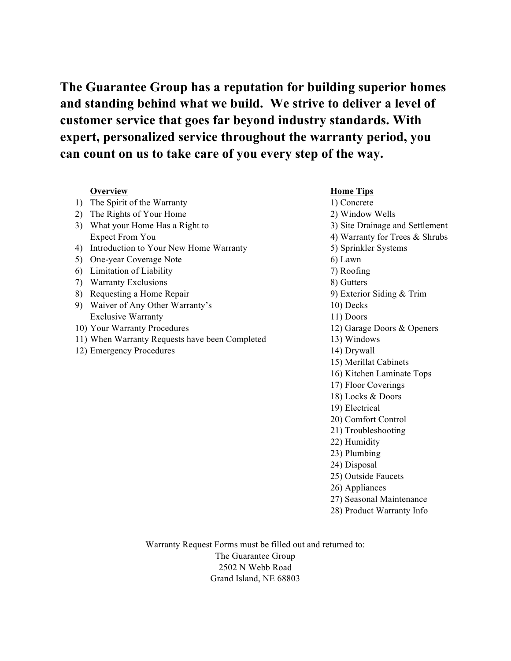**The Guarantee Group has a reputation for building superior homes and standing behind what we build. We strive to deliver a level of customer service that goes far beyond industry standards. With expert, personalized service throughout the warranty period, you can count on us to take care of you every step of the way.**

|    | <b>Overview</b>                                | <b>Home Tips</b>                |
|----|------------------------------------------------|---------------------------------|
| 1) | The Spirit of the Warranty                     | 1) Concrete                     |
| 2) | The Rights of Your Home                        | 2) Window Wells                 |
| 3) | What your Home Has a Right to                  | 3) Site Drainage and Settlement |
|    | <b>Expect From You</b>                         | 4) Warranty for Trees & Shrubs  |
| 4) | Introduction to Your New Home Warranty         | 5) Sprinkler Systems            |
| 5) | One-year Coverage Note                         | 6) Lawn                         |
| 6) | Limitation of Liability                        | 7) Roofing                      |
| 7) | <b>Warranty Exclusions</b>                     | 8) Gutters                      |
| 8) | Requesting a Home Repair                       | 9) Exterior Siding $&$ Trim     |
| 9) | Waiver of Any Other Warranty's                 | 10) Decks                       |
|    | <b>Exclusive Warranty</b>                      | 11) Doors                       |
|    | 10) Your Warranty Procedures                   | 12) Garage Doors & Openers      |
|    | 11) When Warranty Requests have been Completed | 13) Windows                     |
|    | 12) Emergency Procedures                       | 14) Drywall                     |
|    |                                                | 15) Merillat Cabinets           |
|    |                                                | 16) Kitchen Laminate Tops       |
|    |                                                | 17) Floor Coverings             |
|    |                                                | 18) Locks & Doors               |
|    |                                                | 19) Electrical                  |
|    |                                                | 20) Comfort Control             |
|    |                                                | 21) Troubleshooting             |
|    |                                                | 22) Humidity                    |
|    |                                                | 23) Plumbing                    |
|    |                                                | 24) Disposal                    |
|    |                                                | 25) Outside Faucets             |
|    |                                                | 26) Appliances                  |
|    |                                                | 27) Seasonal Maintenance        |
|    |                                                | 28) Product Warranty Info       |
|    |                                                |                                 |

Warranty Request Forms must be filled out and returned to: The Guarantee Group 2502 N Webb Road Grand Island, NE 68803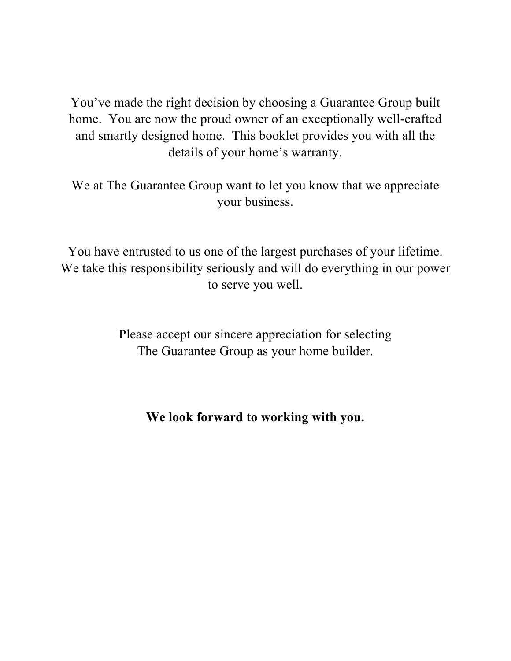You've made the right decision by choosing a Guarantee Group built home. You are now the proud owner of an exceptionally well-crafted and smartly designed home. This booklet provides you with all the details of your home's warranty.

We at The Guarantee Group want to let you know that we appreciate your business.

You have entrusted to us one of the largest purchases of your lifetime. We take this responsibility seriously and will do everything in our power to serve you well.

> Please accept our sincere appreciation for selecting The Guarantee Group as your home builder.

**We look forward to working with you.**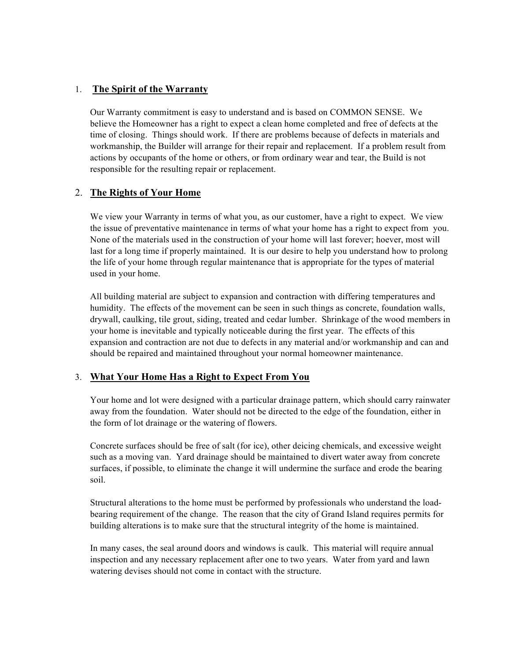# 1. **The Spirit of the Warranty**

Our Warranty commitment is easy to understand and is based on COMMON SENSE. We believe the Homeowner has a right to expect a clean home completed and free of defects at the time of closing. Things should work. If there are problems because of defects in materials and workmanship, the Builder will arrange for their repair and replacement. If a problem result from actions by occupants of the home or others, or from ordinary wear and tear, the Build is not responsible for the resulting repair or replacement.

# 2. **The Rights of Your Home**

We view your Warranty in terms of what you, as our customer, have a right to expect. We view the issue of preventative maintenance in terms of what your home has a right to expect from you. None of the materials used in the construction of your home will last forever; hoever, most will last for a long time if properly maintained. It is our desire to help you understand how to prolong the life of your home through regular maintenance that is appropriate for the types of material used in your home.

All building material are subject to expansion and contraction with differing temperatures and humidity. The effects of the movement can be seen in such things as concrete, foundation walls, drywall, caulking, tile grout, siding, treated and cedar lumber. Shrinkage of the wood members in your home is inevitable and typically noticeable during the first year. The effects of this expansion and contraction are not due to defects in any material and/or workmanship and can and should be repaired and maintained throughout your normal homeowner maintenance.

# 3. **What Your Home Has a Right to Expect From You**

Your home and lot were designed with a particular drainage pattern, which should carry rainwater away from the foundation. Water should not be directed to the edge of the foundation, either in the form of lot drainage or the watering of flowers.

Concrete surfaces should be free of salt (for ice), other deicing chemicals, and excessive weight such as a moving van. Yard drainage should be maintained to divert water away from concrete surfaces, if possible, to eliminate the change it will undermine the surface and erode the bearing soil.

Structural alterations to the home must be performed by professionals who understand the loadbearing requirement of the change. The reason that the city of Grand Island requires permits for building alterations is to make sure that the structural integrity of the home is maintained.

In many cases, the seal around doors and windows is caulk. This material will require annual inspection and any necessary replacement after one to two years. Water from yard and lawn watering devises should not come in contact with the structure.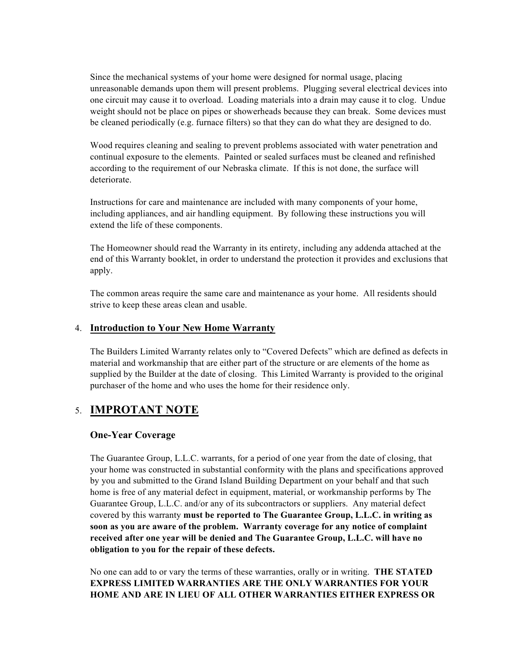Since the mechanical systems of your home were designed for normal usage, placing unreasonable demands upon them will present problems. Plugging several electrical devices into one circuit may cause it to overload. Loading materials into a drain may cause it to clog. Undue weight should not be place on pipes or showerheads because they can break. Some devices must be cleaned periodically (e.g. furnace filters) so that they can do what they are designed to do.

Wood requires cleaning and sealing to prevent problems associated with water penetration and continual exposure to the elements. Painted or sealed surfaces must be cleaned and refinished according to the requirement of our Nebraska climate. If this is not done, the surface will deteriorate.

Instructions for care and maintenance are included with many components of your home, including appliances, and air handling equipment. By following these instructions you will extend the life of these components.

The Homeowner should read the Warranty in its entirety, including any addenda attached at the end of this Warranty booklet, in order to understand the protection it provides and exclusions that apply.

The common areas require the same care and maintenance as your home. All residents should strive to keep these areas clean and usable.

# 4. **Introduction to Your New Home Warranty**

The Builders Limited Warranty relates only to "Covered Defects" which are defined as defects in material and workmanship that are either part of the structure or are elements of the home as supplied by the Builder at the date of closing. This Limited Warranty is provided to the original purchaser of the home and who uses the home for their residence only.

# 5. **IMPROTANT NOTE**

# **One-Year Coverage**

The Guarantee Group, L.L.C. warrants, for a period of one year from the date of closing, that your home was constructed in substantial conformity with the plans and specifications approved by you and submitted to the Grand Island Building Department on your behalf and that such home is free of any material defect in equipment, material, or workmanship performs by The Guarantee Group, L.L.C. and/or any of its subcontractors or suppliers. Any material defect covered by this warranty **must be reported to The Guarantee Group, L.L.C. in writing as soon as you are aware of the problem. Warranty coverage for any notice of complaint received after one year will be denied and The Guarantee Group, L.L.C. will have no obligation to you for the repair of these defects.**

No one can add to or vary the terms of these warranties, orally or in writing. **THE STATED EXPRESS LIMITED WARRANTIES ARE THE ONLY WARRANTIES FOR YOUR HOME AND ARE IN LIEU OF ALL OTHER WARRANTIES EITHER EXPRESS OR**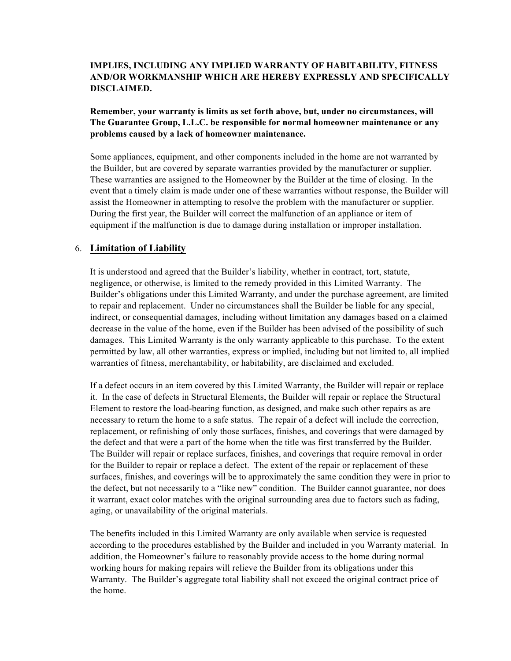# **IMPLIES, INCLUDING ANY IMPLIED WARRANTY OF HABITABILITY, FITNESS AND/OR WORKMANSHIP WHICH ARE HEREBY EXPRESSLY AND SPECIFICALLY DISCLAIMED.**

**Remember, your warranty is limits as set forth above, but, under no circumstances, will The Guarantee Group, L.L.C. be responsible for normal homeowner maintenance or any problems caused by a lack of homeowner maintenance.**

Some appliances, equipment, and other components included in the home are not warranted by the Builder, but are covered by separate warranties provided by the manufacturer or supplier. These warranties are assigned to the Homeowner by the Builder at the time of closing. In the event that a timely claim is made under one of these warranties without response, the Builder will assist the Homeowner in attempting to resolve the problem with the manufacturer or supplier. During the first year, the Builder will correct the malfunction of an appliance or item of equipment if the malfunction is due to damage during installation or improper installation.

# 6. **Limitation of Liability**

It is understood and agreed that the Builder's liability, whether in contract, tort, statute, negligence, or otherwise, is limited to the remedy provided in this Limited Warranty. The Builder's obligations under this Limited Warranty, and under the purchase agreement, are limited to repair and replacement. Under no circumstances shall the Builder be liable for any special, indirect, or consequential damages, including without limitation any damages based on a claimed decrease in the value of the home, even if the Builder has been advised of the possibility of such damages. This Limited Warranty is the only warranty applicable to this purchase. To the extent permitted by law, all other warranties, express or implied, including but not limited to, all implied warranties of fitness, merchantability, or habitability, are disclaimed and excluded.

If a defect occurs in an item covered by this Limited Warranty, the Builder will repair or replace it. In the case of defects in Structural Elements, the Builder will repair or replace the Structural Element to restore the load-bearing function, as designed, and make such other repairs as are necessary to return the home to a safe status. The repair of a defect will include the correction, replacement, or refinishing of only those surfaces, finishes, and coverings that were damaged by the defect and that were a part of the home when the title was first transferred by the Builder. The Builder will repair or replace surfaces, finishes, and coverings that require removal in order for the Builder to repair or replace a defect. The extent of the repair or replacement of these surfaces, finishes, and coverings will be to approximately the same condition they were in prior to the defect, but not necessarily to a "like new" condition. The Builder cannot guarantee, nor does it warrant, exact color matches with the original surrounding area due to factors such as fading, aging, or unavailability of the original materials.

The benefits included in this Limited Warranty are only available when service is requested according to the procedures established by the Builder and included in you Warranty material. In addition, the Homeowner's failure to reasonably provide access to the home during normal working hours for making repairs will relieve the Builder from its obligations under this Warranty. The Builder's aggregate total liability shall not exceed the original contract price of the home.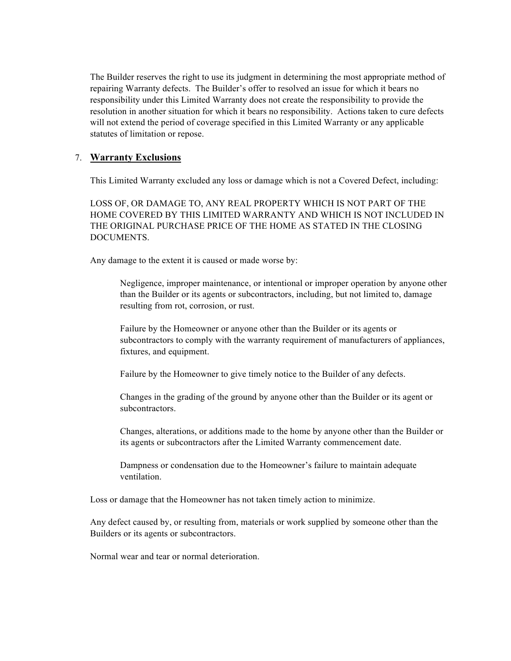The Builder reserves the right to use its judgment in determining the most appropriate method of repairing Warranty defects. The Builder's offer to resolved an issue for which it bears no responsibility under this Limited Warranty does not create the responsibility to provide the resolution in another situation for which it bears no responsibility. Actions taken to cure defects will not extend the period of coverage specified in this Limited Warranty or any applicable statutes of limitation or repose.

# 7. **Warranty Exclusions**

This Limited Warranty excluded any loss or damage which is not a Covered Defect, including:

LOSS OF, OR DAMAGE TO, ANY REAL PROPERTY WHICH IS NOT PART OF THE HOME COVERED BY THIS LIMITED WARRANTY AND WHICH IS NOT INCLUDED IN THE ORIGINAL PURCHASE PRICE OF THE HOME AS STATED IN THE CLOSING DOCUMENTS.

Any damage to the extent it is caused or made worse by:

Negligence, improper maintenance, or intentional or improper operation by anyone other than the Builder or its agents or subcontractors, including, but not limited to, damage resulting from rot, corrosion, or rust.

Failure by the Homeowner or anyone other than the Builder or its agents or subcontractors to comply with the warranty requirement of manufacturers of appliances, fixtures, and equipment.

Failure by the Homeowner to give timely notice to the Builder of any defects.

Changes in the grading of the ground by anyone other than the Builder or its agent or subcontractors.

Changes, alterations, or additions made to the home by anyone other than the Builder or its agents or subcontractors after the Limited Warranty commencement date.

Dampness or condensation due to the Homeowner's failure to maintain adequate ventilation.

Loss or damage that the Homeowner has not taken timely action to minimize.

Any defect caused by, or resulting from, materials or work supplied by someone other than the Builders or its agents or subcontractors.

Normal wear and tear or normal deterioration.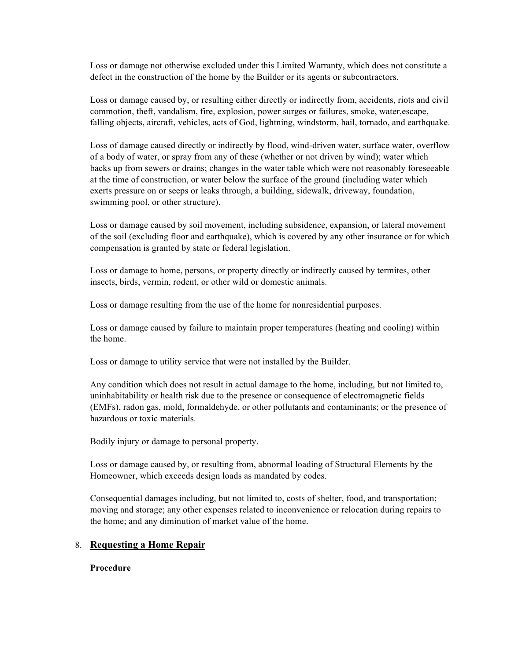Loss or damage not otherwise excluded under this Limited Warranty, which does not constitute a defect in the construction of the home by the Builder or its agents or subcontractors.

Loss or damage caused by, or resulting either directly or indirectly from, accidents, riots and civil commotion, theft, vandalism, fire, explosion, power surges or failures, smoke, water,escape, falling objects, aircraft, vehicles, acts of God, lightning, windstorm, hail, tornado, and earthquake.

Loss of damage caused directly or indirectly by flood, wind-driven water, surface water, overflow of a body of water, or spray from any of these (whether or not driven by wind); water which backs up from sewers or drains; changes in the water table which were not reasonably foreseeable at the time of construction, or water below the surface of the ground (including water which exerts pressure on or seeps or leaks through, a building, sidewalk, driveway, foundation, swimming pool, or other structure).

Loss or damage caused by soil movement, including subsidence, expansion, or lateral movement of the soil (excluding floor and earthquake), which is covered by any other insurance or for which compensation is granted by state or federal legislation.

Loss or damage to home, persons, or property directly or indirectly caused by termites, other insects, birds, vermin, rodent, or other wild or domestic animals.

Loss or damage resulting from the use of the home for nonresidential purposes.

Loss or damage caused by failure to maintain proper temperatures (heating and cooling) within the home.

Loss or damage to utility service that were not installed by the Builder.

Any condition which does not result in actual damage to the home, including, but not limited to, uninhabitability or health risk due to the presence or consequence of electromagnetic fields (EMFs), radon gas, mold, formaldehyde, or other pollutants and contaminants; or the presence of hazardous or toxic materials.

Bodily injury or damage to personal property.

Loss or damage caused by, or resulting from, abnormal loading of Structural Elements by the Homeowner, which exceeds design loads as mandated by codes.

Consequential damages including, but not limited to, costs of shelter, food, and transportation; moving and storage; any other expenses related to inconvenience or relocation during repairs to the home; and any diminution of market value of the home.

#### 8. **Requesting a Home Repair**

#### **Procedure**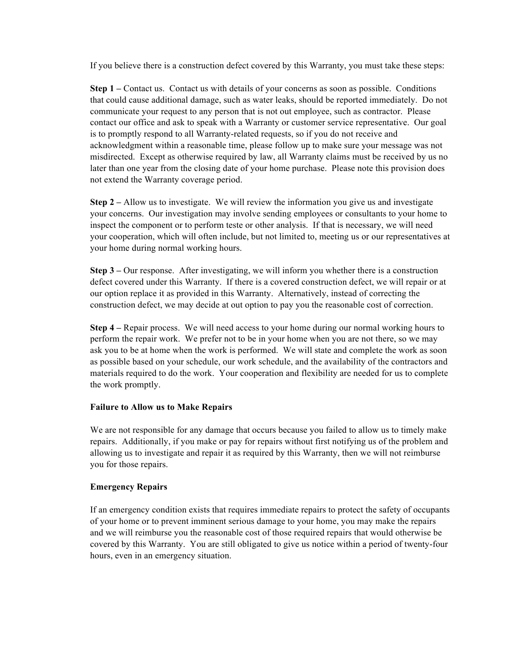If you believe there is a construction defect covered by this Warranty, you must take these steps:

**Step 1** – Contact us. Contact us with details of your concerns as soon as possible. Conditions that could cause additional damage, such as water leaks, should be reported immediately. Do not communicate your request to any person that is not out employee, such as contractor. Please contact our office and ask to speak with a Warranty or customer service representative. Our goal is to promptly respond to all Warranty-related requests, so if you do not receive and acknowledgment within a reasonable time, please follow up to make sure your message was not misdirected. Except as otherwise required by law, all Warranty claims must be received by us no later than one year from the closing date of your home purchase. Please note this provision does not extend the Warranty coverage period.

**Step 2 –** Allow us to investigate. We will review the information you give us and investigate your concerns. Our investigation may involve sending employees or consultants to your home to inspect the component or to perform teste or other analysis. If that is necessary, we will need your cooperation, which will often include, but not limited to, meeting us or our representatives at your home during normal working hours.

**Step 3 –** Our response. After investigating, we will inform you whether there is a construction defect covered under this Warranty. If there is a covered construction defect, we will repair or at our option replace it as provided in this Warranty. Alternatively, instead of correcting the construction defect, we may decide at out option to pay you the reasonable cost of correction.

**Step 4 –** Repair process. We will need access to your home during our normal working hours to perform the repair work. We prefer not to be in your home when you are not there, so we may ask you to be at home when the work is performed. We will state and complete the work as soon as possible based on your schedule, our work schedule, and the availability of the contractors and materials required to do the work. Your cooperation and flexibility are needed for us to complete the work promptly.

#### **Failure to Allow us to Make Repairs**

We are not responsible for any damage that occurs because you failed to allow us to timely make repairs. Additionally, if you make or pay for repairs without first notifying us of the problem and allowing us to investigate and repair it as required by this Warranty, then we will not reimburse you for those repairs.

#### **Emergency Repairs**

If an emergency condition exists that requires immediate repairs to protect the safety of occupants of your home or to prevent imminent serious damage to your home, you may make the repairs and we will reimburse you the reasonable cost of those required repairs that would otherwise be covered by this Warranty. You are still obligated to give us notice within a period of twenty-four hours, even in an emergency situation.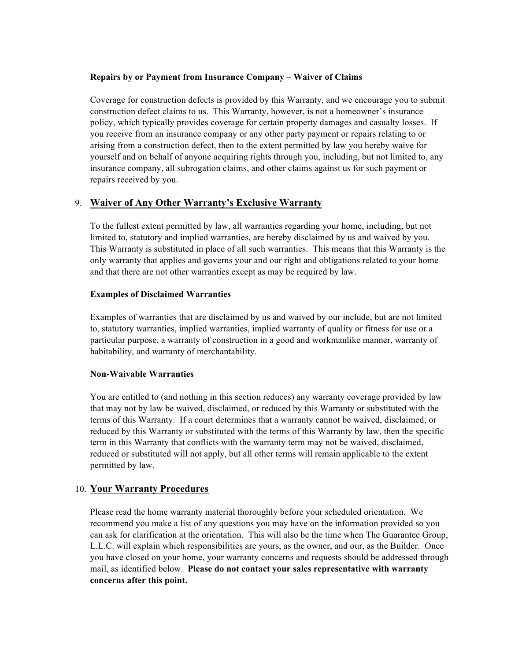#### **Repairs by or Payment from Insurance Company – Waiver of Claims**

Coverage for construction defects is provided by this Warranty, and we encourage you to submit construction defect claims to us. This Warranty, however, is not a homeowner's insurance policy, which typically provides coverage for certain property damages and casualty losses. If you receive from an insurance company or any other party payment or repairs relating to or arising from a construction defect, then to the extent permitted by law you hereby waive for yourself and on behalf of anyone acquiring rights through you, including, but not limited to, any insurance company, all subrogation claims, and other claims against us for such payment or repairs received by you.

# 9. **Waiver of Any Other Warranty's Exclusive Warranty**

To the fullest extent permitted by law, all warranties regarding your home, including, but not limited to, statutory and implied warranties, are hereby disclaimed by us and waived by you. This Warranty is substituted in place of all such warranties. This means that this Warranty is the only warranty that applies and governs your and our right and obligations related to your home and that there are not other warranties except as may be required by law.

#### **Examples of Disclaimed Warranties**

Examples of warranties that are disclaimed by us and waived by our include, but are not limited to, statutory warranties, implied warranties, implied warranty of quality or fitness for use or a particular purpose, a warranty of construction in a good and workmanlike manner, warranty of habitability, and warranty of merchantability.

#### **Non-Waivable Warranties**

You are entitled to (and nothing in this section reduces) any warranty coverage provided by law that may not by law be waived, disclaimed, or reduced by this Warranty or substituted with the terms of this Warranty. If a court determines that a warranty cannot be waived, disclaimed, or reduced by this Warranty or substituted with the terms of this Warranty by law, then the specific term in this Warranty that conflicts with the warranty term may not be waived, disclaimed, reduced or substituted will not apply, but all other terms will remain applicable to the extent permitted by law.

#### 10. **Your Warranty Procedures**

Please read the home warranty material thoroughly before your scheduled orientation. We recommend you make a list of any questions you may have on the information provided so you can ask for clarification at the orientation. This will also be the time when The Guarantee Group, L.L.C. will explain which responsibilities are yours, as the owner, and our, as the Builder. Once you have closed on your home, your warranty concerns and requests should be addressed through mail, as identified below. **Please do not contact your sales representative with warranty concerns after this point.**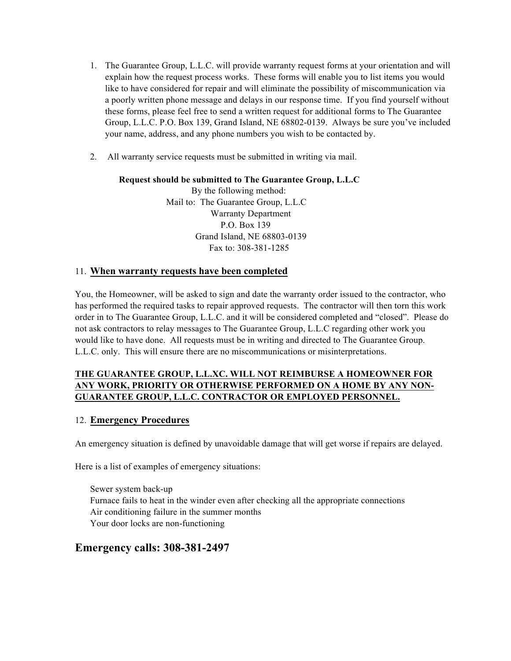- 1. The Guarantee Group, L.L.C. will provide warranty request forms at your orientation and will explain how the request process works. These forms will enable you to list items you would like to have considered for repair and will eliminate the possibility of miscommunication via a poorly written phone message and delays in our response time. If you find yourself without these forms, please feel free to send a written request for additional forms to The Guarantee Group, L.L.C. P.O. Box 139, Grand Island, NE 68802-0139. Always be sure you've included your name, address, and any phone numbers you wish to be contacted by.
- 2. All warranty service requests must be submitted in writing via mail.

# **Request should be submitted to The Guarantee Group, L.L.C**

 By the following method: Mail to: The Guarantee Group, L.L.C Warranty Department P.O. Box 139 Grand Island, NE 68803-0139 Fax to: 308-381-1285

# 11. **When warranty requests have been completed**

You, the Homeowner, will be asked to sign and date the warranty order issued to the contractor, who has performed the required tasks to repair approved requests. The contractor will then torn this work order in to The Guarantee Group, L.L.C. and it will be considered completed and "closed". Please do not ask contractors to relay messages to The Guarantee Group, L.L.C regarding other work you would like to have done. All requests must be in writing and directed to The Guarantee Group. L.L.C. only. This will ensure there are no miscommunications or misinterpretations.

# **THE GUARANTEE GROUP, L.L.XC. WILL NOT REIMBURSE A HOMEOWNER FOR ANY WORK, PRIORITY OR OTHERWISE PERFORMED ON A HOME BY ANY NON-GUARANTEE GROUP, L.L.C. CONTRACTOR OR EMPLOYED PERSONNEL.**

# 12. **Emergency Procedures**

An emergency situation is defined by unavoidable damage that will get worse if repairs are delayed.

Here is a list of examples of emergency situations:

Sewer system back-up Furnace fails to heat in the winder even after checking all the appropriate connections Air conditioning failure in the summer months Your door locks are non-functioning

# **Emergency calls: 308-381-2497**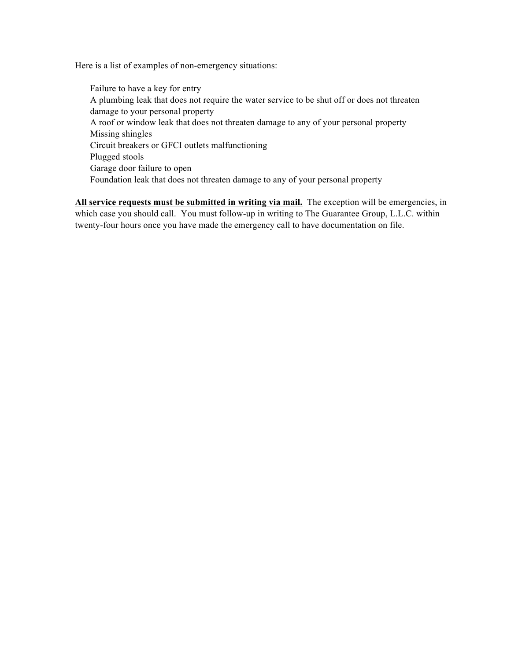Here is a list of examples of non-emergency situations:

Failure to have a key for entry A plumbing leak that does not require the water service to be shut off or does not threaten damage to your personal property A roof or window leak that does not threaten damage to any of your personal property Missing shingles Circuit breakers or GFCI outlets malfunctioning Plugged stools Garage door failure to open Foundation leak that does not threaten damage to any of your personal property

**All service requests must be submitted in writing via mail.** The exception will be emergencies, in which case you should call. You must follow-up in writing to The Guarantee Group, L.L.C. within twenty-four hours once you have made the emergency call to have documentation on file.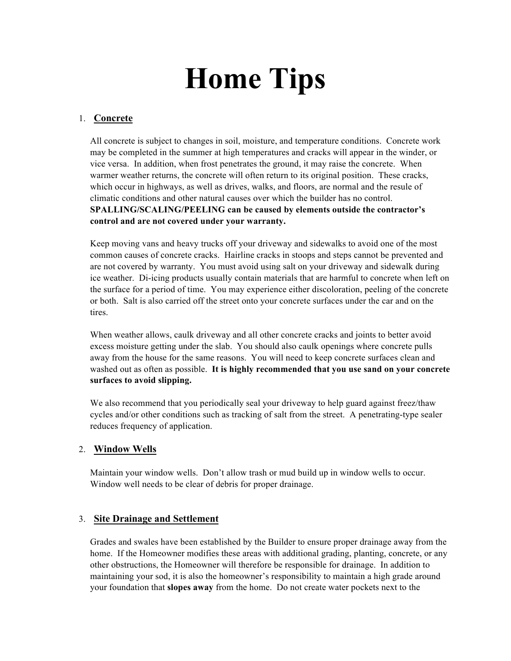# **Home Tips**

# 1. **Concrete**

All concrete is subject to changes in soil, moisture, and temperature conditions. Concrete work may be completed in the summer at high temperatures and cracks will appear in the winder, or vice versa. In addition, when frost penetrates the ground, it may raise the concrete. When warmer weather returns, the concrete will often return to its original position. These cracks, which occur in highways, as well as drives, walks, and floors, are normal and the resule of climatic conditions and other natural causes over which the builder has no control. **SPALLING/SCALING/PEELING can be caused by elements outside the contractor's control and are not covered under your warranty.**

Keep moving vans and heavy trucks off your driveway and sidewalks to avoid one of the most common causes of concrete cracks. Hairline cracks in stoops and steps cannot be prevented and are not covered by warranty. You must avoid using salt on your driveway and sidewalk during ice weather. Di-icing products usually contain materials that are harmful to concrete when left on the surface for a period of time. You may experience either discoloration, peeling of the concrete or both. Salt is also carried off the street onto your concrete surfaces under the car and on the tires.

When weather allows, caulk driveway and all other concrete cracks and joints to better avoid excess moisture getting under the slab. You should also caulk openings where concrete pulls away from the house for the same reasons. You will need to keep concrete surfaces clean and washed out as often as possible. **It is highly recommended that you use sand on your concrete surfaces to avoid slipping.**

We also recommend that you periodically seal your driveway to help guard against freez/thaw cycles and/or other conditions such as tracking of salt from the street. A penetrating-type sealer reduces frequency of application.

#### 2. **Window Wells**

Maintain your window wells. Don't allow trash or mud build up in window wells to occur. Window well needs to be clear of debris for proper drainage.

# 3. **Site Drainage and Settlement**

Grades and swales have been established by the Builder to ensure proper drainage away from the home. If the Homeowner modifies these areas with additional grading, planting, concrete, or any other obstructions, the Homeowner will therefore be responsible for drainage. In addition to maintaining your sod, it is also the homeowner's responsibility to maintain a high grade around your foundation that **slopes away** from the home. Do not create water pockets next to the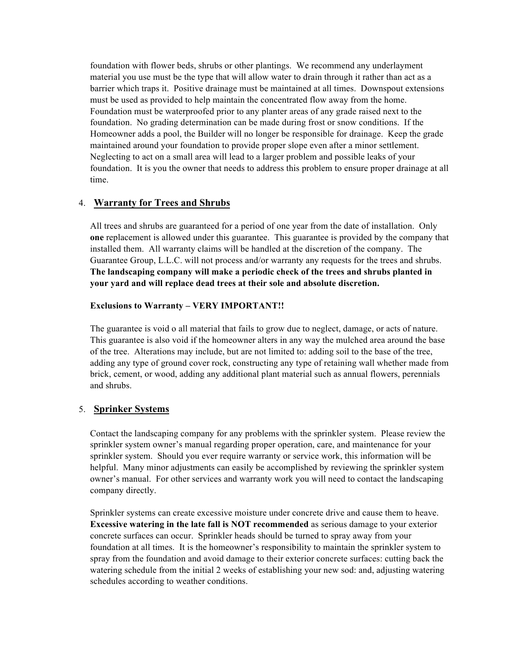foundation with flower beds, shrubs or other plantings. We recommend any underlayment material you use must be the type that will allow water to drain through it rather than act as a barrier which traps it. Positive drainage must be maintained at all times. Downspout extensions must be used as provided to help maintain the concentrated flow away from the home. Foundation must be waterproofed prior to any planter areas of any grade raised next to the foundation. No grading determination can be made during frost or snow conditions. If the Homeowner adds a pool, the Builder will no longer be responsible for drainage. Keep the grade maintained around your foundation to provide proper slope even after a minor settlement. Neglecting to act on a small area will lead to a larger problem and possible leaks of your foundation. It is you the owner that needs to address this problem to ensure proper drainage at all time.

# 4. **Warranty for Trees and Shrubs**

All trees and shrubs are guaranteed for a period of one year from the date of installation. Only **one** replacement is allowed under this guarantee. This guarantee is provided by the company that installed them. All warranty claims will be handled at the discretion of the company. The Guarantee Group, L.L.C. will not process and/or warranty any requests for the trees and shrubs. **The landscaping company will make a periodic check of the trees and shrubs planted in your yard and will replace dead trees at their sole and absolute discretion.**

# **Exclusions to Warranty – VERY IMPORTANT!!**

The guarantee is void o all material that fails to grow due to neglect, damage, or acts of nature. This guarantee is also void if the homeowner alters in any way the mulched area around the base of the tree. Alterations may include, but are not limited to: adding soil to the base of the tree, adding any type of ground cover rock, constructing any type of retaining wall whether made from brick, cement, or wood, adding any additional plant material such as annual flowers, perennials and shrubs.

# 5. **Sprinker Systems**

Contact the landscaping company for any problems with the sprinkler system. Please review the sprinkler system owner's manual regarding proper operation, care, and maintenance for your sprinkler system. Should you ever require warranty or service work, this information will be helpful. Many minor adjustments can easily be accomplished by reviewing the sprinkler system owner's manual. For other services and warranty work you will need to contact the landscaping company directly.

Sprinkler systems can create excessive moisture under concrete drive and cause them to heave. **Excessive watering in the late fall is NOT recommended** as serious damage to your exterior concrete surfaces can occur. Sprinkler heads should be turned to spray away from your foundation at all times. It is the homeowner's responsibility to maintain the sprinkler system to spray from the foundation and avoid damage to their exterior concrete surfaces: cutting back the watering schedule from the initial 2 weeks of establishing your new sod: and, adjusting watering schedules according to weather conditions.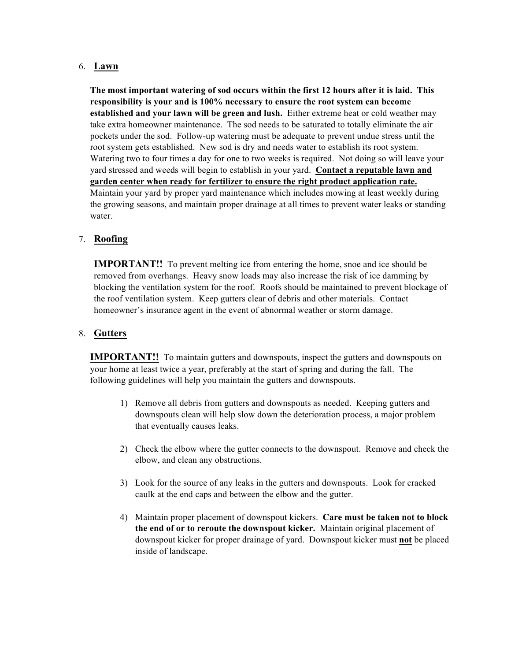# 6. **Lawn**

**The most important watering of sod occurs within the first 12 hours after it is laid. This responsibility is your and is 100% necessary to ensure the root system can become established and your lawn will be green and lush.** Either extreme heat or cold weather may take extra homeowner maintenance. The sod needs to be saturated to totally eliminate the air pockets under the sod. Follow-up watering must be adequate to prevent undue stress until the root system gets established. New sod is dry and needs water to establish its root system. Watering two to four times a day for one to two weeks is required. Not doing so will leave your yard stressed and weeds will begin to establish in your yard. **Contact a reputable lawn and garden center when ready for fertilizer to ensure the right product application rate.** Maintain your yard by proper yard maintenance which includes mowing at least weekly during the growing seasons, and maintain proper drainage at all times to prevent water leaks or standing water.

# 7. **Roofing**

**IMPORTANT!!** To prevent melting ice from entering the home, snoe and ice should be removed from overhangs. Heavy snow loads may also increase the risk of ice damming by blocking the ventilation system for the roof. Roofs should be maintained to prevent blockage of the roof ventilation system. Keep gutters clear of debris and other materials. Contact homeowner's insurance agent in the event of abnormal weather or storm damage.

#### 8. **Gutters**

**IMPORTANT!!** To maintain gutters and downspouts, inspect the gutters and downspouts on your home at least twice a year, preferably at the start of spring and during the fall. The following guidelines will help you maintain the gutters and downspouts.

- 1) Remove all debris from gutters and downspouts as needed. Keeping gutters and downspouts clean will help slow down the deterioration process, a major problem that eventually causes leaks.
- 2) Check the elbow where the gutter connects to the downspout. Remove and check the elbow, and clean any obstructions.
- 3) Look for the source of any leaks in the gutters and downspouts. Look for cracked caulk at the end caps and between the elbow and the gutter.
- 4) Maintain proper placement of downspout kickers. **Care must be taken not to block the end of or to reroute the downspout kicker.** Maintain original placement of downspout kicker for proper drainage of yard. Downspout kicker must **not** be placed inside of landscape.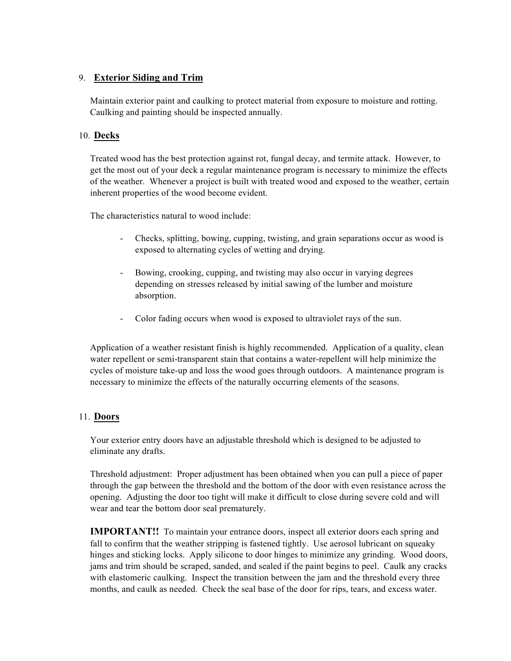# 9. **Exterior Siding and Trim**

Maintain exterior paint and caulking to protect material from exposure to moisture and rotting. Caulking and painting should be inspected annually.

# 10. **Decks**

Treated wood has the best protection against rot, fungal decay, and termite attack. However, to get the most out of your deck a regular maintenance program is necessary to minimize the effects of the weather. Whenever a project is built with treated wood and exposed to the weather, certain inherent properties of the wood become evident.

The characteristics natural to wood include:

- Checks, splitting, bowing, cupping, twisting, and grain separations occur as wood is exposed to alternating cycles of wetting and drying.
- Bowing, crooking, cupping, and twisting may also occur in varying degrees depending on stresses released by initial sawing of the lumber and moisture absorption.
- Color fading occurs when wood is exposed to ultraviolet rays of the sun.

Application of a weather resistant finish is highly recommended. Application of a quality, clean water repellent or semi-transparent stain that contains a water-repellent will help minimize the cycles of moisture take-up and loss the wood goes through outdoors. A maintenance program is necessary to minimize the effects of the naturally occurring elements of the seasons.

# 11. **Doors**

Your exterior entry doors have an adjustable threshold which is designed to be adjusted to eliminate any drafts.

Threshold adjustment: Proper adjustment has been obtained when you can pull a piece of paper through the gap between the threshold and the bottom of the door with even resistance across the opening. Adjusting the door too tight will make it difficult to close during severe cold and will wear and tear the bottom door seal prematurely.

**IMPORTANT!!** To maintain your entrance doors, inspect all exterior doors each spring and fall to confirm that the weather stripping is fastened tightly. Use aerosol lubricant on squeaky hinges and sticking locks. Apply silicone to door hinges to minimize any grinding. Wood doors, jams and trim should be scraped, sanded, and sealed if the paint begins to peel. Caulk any cracks with elastomeric caulking. Inspect the transition between the jam and the threshold every three months, and caulk as needed. Check the seal base of the door for rips, tears, and excess water.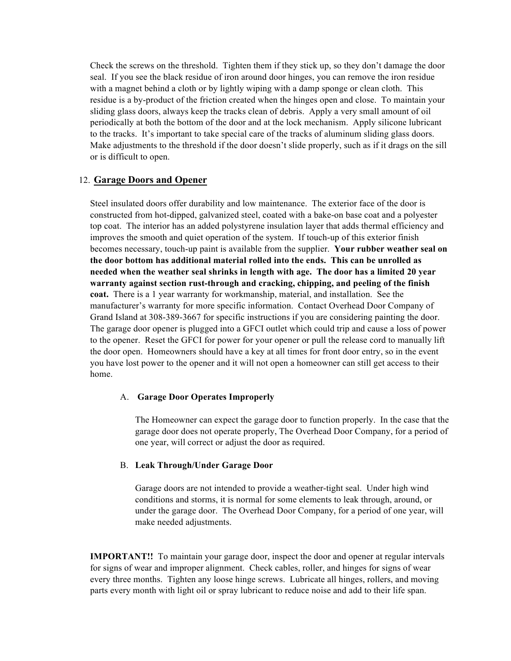Check the screws on the threshold. Tighten them if they stick up, so they don't damage the door seal. If you see the black residue of iron around door hinges, you can remove the iron residue with a magnet behind a cloth or by lightly wiping with a damp sponge or clean cloth. This residue is a by-product of the friction created when the hinges open and close. To maintain your sliding glass doors, always keep the tracks clean of debris. Apply a very small amount of oil periodically at both the bottom of the door and at the lock mechanism. Apply silicone lubricant to the tracks. It's important to take special care of the tracks of aluminum sliding glass doors. Make adjustments to the threshold if the door doesn't slide properly, such as if it drags on the sill or is difficult to open.

#### 12. **Garage Doors and Opener**

Steel insulated doors offer durability and low maintenance. The exterior face of the door is constructed from hot-dipped, galvanized steel, coated with a bake-on base coat and a polyester top coat. The interior has an added polystyrene insulation layer that adds thermal efficiency and improves the smooth and quiet operation of the system. If touch-up of this exterior finish becomes necessary, touch-up paint is available from the supplier. **Your rubber weather seal on the door bottom has additional material rolled into the ends. This can be unrolled as needed when the weather seal shrinks in length with age. The door has a limited 20 year warranty against section rust-through and cracking, chipping, and peeling of the finish coat.** There is a 1 year warranty for workmanship, material, and installation. See the manufacturer's warranty for more specific information. Contact Overhead Door Company of Grand Island at 308-389-3667 for specific instructions if you are considering painting the door. The garage door opener is plugged into a GFCI outlet which could trip and cause a loss of power to the opener. Reset the GFCI for power for your opener or pull the release cord to manually lift the door open. Homeowners should have a key at all times for front door entry, so in the event you have lost power to the opener and it will not open a homeowner can still get access to their home.

#### A. **Garage Door Operates Improperly**

The Homeowner can expect the garage door to function properly. In the case that the garage door does not operate properly, The Overhead Door Company, for a period of one year, will correct or adjust the door as required.

#### B. **Leak Through/Under Garage Door**

Garage doors are not intended to provide a weather-tight seal. Under high wind conditions and storms, it is normal for some elements to leak through, around, or under the garage door. The Overhead Door Company, for a period of one year, will make needed adjustments.

**IMPORTANT!!** To maintain your garage door, inspect the door and opener at regular intervals for signs of wear and improper alignment. Check cables, roller, and hinges for signs of wear every three months. Tighten any loose hinge screws. Lubricate all hinges, rollers, and moving parts every month with light oil or spray lubricant to reduce noise and add to their life span.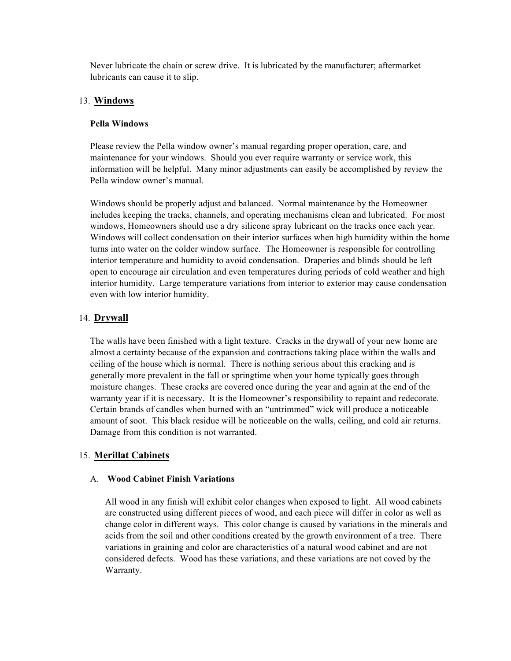Never lubricate the chain or screw drive. It is lubricated by the manufacturer; aftermarket lubricants can cause it to slip.

# 13. **Windows**

#### **Pella Windows**

Please review the Pella window owner's manual regarding proper operation, care, and maintenance for your windows. Should you ever require warranty or service work, this information will be helpful. Many minor adjustments can easily be accomplished by review the Pella window owner's manual.

Windows should be properly adjust and balanced. Normal maintenance by the Homeowner includes keeping the tracks, channels, and operating mechanisms clean and lubricated. For most windows, Homeowners should use a dry silicone spray lubricant on the tracks once each year. Windows will collect condensation on their interior surfaces when high humidity within the home turns into water on the colder window surface. The Homeowner is responsible for controlling interior temperature and humidity to avoid condensation. Draperies and blinds should be left open to encourage air circulation and even temperatures during periods of cold weather and high interior humidity. Large temperature variations from interior to exterior may cause condensation even with low interior humidity.

# 14. **Drywall**

The walls have been finished with a light texture. Cracks in the drywall of your new home are almost a certainty because of the expansion and contractions taking place within the walls and ceiling of the house which is normal. There is nothing serious about this cracking and is generally more prevalent in the fall or springtime when your home typically goes through moisture changes. These cracks are covered once during the year and again at the end of the warranty year if it is necessary. It is the Homeowner's responsibility to repaint and redecorate. Certain brands of candles when burned with an "untrimmed" wick will produce a noticeable amount of soot. This black residue will be noticeable on the walls, ceiling, and cold air returns. Damage from this condition is not warranted.

# 15. **Merillat Cabinets**

#### A. **Wood Cabinet Finish Variations**

All wood in any finish will exhibit color changes when exposed to light. All wood cabinets are constructed using different pieces of wood, and each piece will differ in color as well as change color in different ways. This color change is caused by variations in the minerals and acids from the soil and other conditions created by the growth environment of a tree. There variations in graining and color are characteristics of a natural wood cabinet and are not considered defects. Wood has these variations, and these variations are not coved by the Warranty.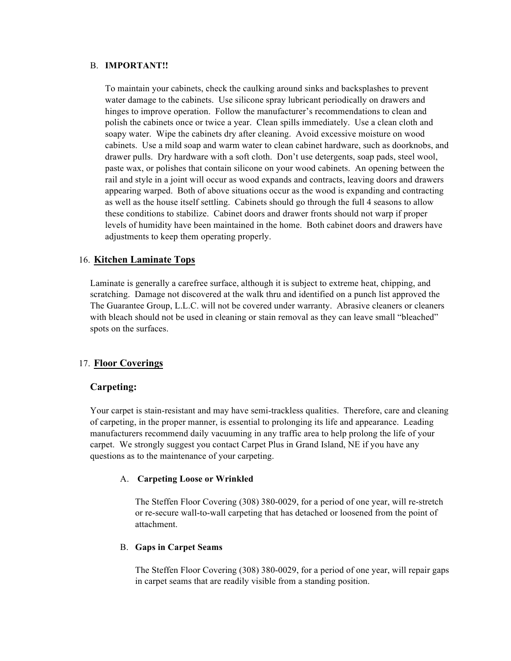#### B. **IMPORTANT!!**

To maintain your cabinets, check the caulking around sinks and backsplashes to prevent water damage to the cabinets. Use silicone spray lubricant periodically on drawers and hinges to improve operation. Follow the manufacturer's recommendations to clean and polish the cabinets once or twice a year. Clean spills immediately. Use a clean cloth and soapy water. Wipe the cabinets dry after cleaning. Avoid excessive moisture on wood cabinets. Use a mild soap and warm water to clean cabinet hardware, such as doorknobs, and drawer pulls. Dry hardware with a soft cloth. Don't use detergents, soap pads, steel wool, paste wax, or polishes that contain silicone on your wood cabinets. An opening between the rail and style in a joint will occur as wood expands and contracts, leaving doors and drawers appearing warped. Both of above situations occur as the wood is expanding and contracting as well as the house itself settling. Cabinets should go through the full 4 seasons to allow these conditions to stabilize. Cabinet doors and drawer fronts should not warp if proper levels of humidity have been maintained in the home. Both cabinet doors and drawers have adjustments to keep them operating properly.

# 16. **Kitchen Laminate Tops**

Laminate is generally a carefree surface, although it is subject to extreme heat, chipping, and scratching. Damage not discovered at the walk thru and identified on a punch list approved the The Guarantee Group, L.L.C. will not be covered under warranty. Abrasive cleaners or cleaners with bleach should not be used in cleaning or stain removal as they can leave small "bleached" spots on the surfaces.

# 17. **Floor Coverings**

#### **Carpeting:**

Your carpet is stain-resistant and may have semi-trackless qualities. Therefore, care and cleaning of carpeting, in the proper manner, is essential to prolonging its life and appearance. Leading manufacturers recommend daily vacuuming in any traffic area to help prolong the life of your carpet. We strongly suggest you contact Carpet Plus in Grand Island, NE if you have any questions as to the maintenance of your carpeting.

#### A. **Carpeting Loose or Wrinkled**

The Steffen Floor Covering (308) 380-0029, for a period of one year, will re-stretch or re-secure wall-to-wall carpeting that has detached or loosened from the point of attachment.

#### B. **Gaps in Carpet Seams**

The Steffen Floor Covering (308) 380-0029, for a period of one year, will repair gaps in carpet seams that are readily visible from a standing position.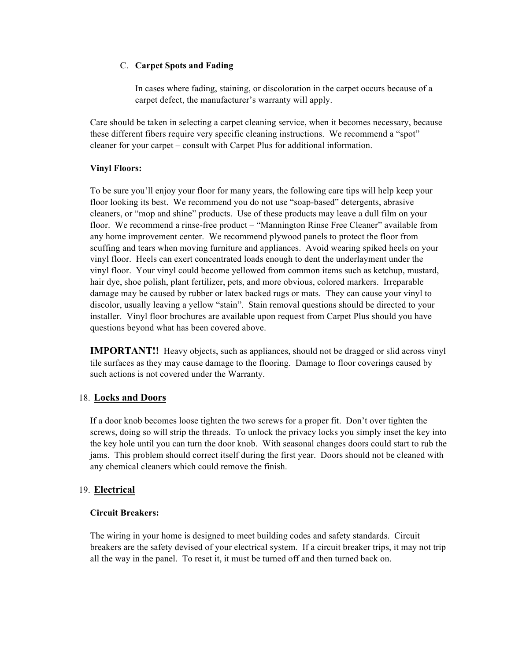#### C. **Carpet Spots and Fading**

In cases where fading, staining, or discoloration in the carpet occurs because of a carpet defect, the manufacturer's warranty will apply.

Care should be taken in selecting a carpet cleaning service, when it becomes necessary, because these different fibers require very specific cleaning instructions. We recommend a "spot" cleaner for your carpet – consult with Carpet Plus for additional information.

# **Vinyl Floors:**

To be sure you'll enjoy your floor for many years, the following care tips will help keep your floor looking its best. We recommend you do not use "soap-based" detergents, abrasive cleaners, or "mop and shine" products. Use of these products may leave a dull film on your floor. We recommend a rinse-free product – "Mannington Rinse Free Cleaner" available from any home improvement center. We recommend plywood panels to protect the floor from scuffing and tears when moving furniture and appliances. Avoid wearing spiked heels on your vinyl floor. Heels can exert concentrated loads enough to dent the underlayment under the vinyl floor. Your vinyl could become yellowed from common items such as ketchup, mustard, hair dye, shoe polish, plant fertilizer, pets, and more obvious, colored markers. Irreparable damage may be caused by rubber or latex backed rugs or mats. They can cause your vinyl to discolor, usually leaving a yellow "stain". Stain removal questions should be directed to your installer. Vinyl floor brochures are available upon request from Carpet Plus should you have questions beyond what has been covered above.

**IMPORTANT!!** Heavy objects, such as appliances, should not be dragged or slid across vinyl tile surfaces as they may cause damage to the flooring. Damage to floor coverings caused by such actions is not covered under the Warranty.

# 18. **Locks and Doors**

If a door knob becomes loose tighten the two screws for a proper fit. Don't over tighten the screws, doing so will strip the threads. To unlock the privacy locks you simply inset the key into the key hole until you can turn the door knob. With seasonal changes doors could start to rub the jams. This problem should correct itself during the first year. Doors should not be cleaned with any chemical cleaners which could remove the finish.

# 19. **Electrical**

# **Circuit Breakers:**

The wiring in your home is designed to meet building codes and safety standards. Circuit breakers are the safety devised of your electrical system. If a circuit breaker trips, it may not trip all the way in the panel. To reset it, it must be turned off and then turned back on.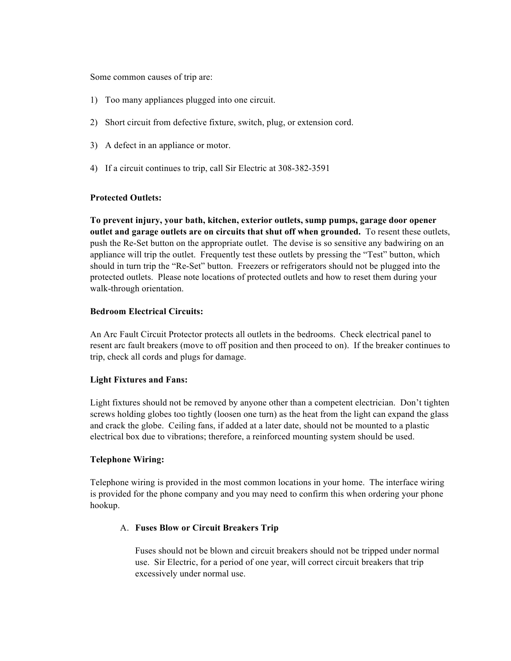Some common causes of trip are:

- 1) Too many appliances plugged into one circuit.
- 2) Short circuit from defective fixture, switch, plug, or extension cord.
- 3) A defect in an appliance or motor.
- 4) If a circuit continues to trip, call Sir Electric at 308-382-3591

# **Protected Outlets:**

**To prevent injury, your bath, kitchen, exterior outlets, sump pumps, garage door opener outlet and garage outlets are on circuits that shut off when grounded.** To resent these outlets, push the Re-Set button on the appropriate outlet. The devise is so sensitive any badwiring on an appliance will trip the outlet. Frequently test these outlets by pressing the "Test" button, which should in turn trip the "Re-Set" button. Freezers or refrigerators should not be plugged into the protected outlets. Please note locations of protected outlets and how to reset them during your walk-through orientation.

# **Bedroom Electrical Circuits:**

An Arc Fault Circuit Protector protects all outlets in the bedrooms. Check electrical panel to resent arc fault breakers (move to off position and then proceed to on). If the breaker continues to trip, check all cords and plugs for damage.

#### **Light Fixtures and Fans:**

Light fixtures should not be removed by anyone other than a competent electrician. Don't tighten screws holding globes too tightly (loosen one turn) as the heat from the light can expand the glass and crack the globe. Ceiling fans, if added at a later date, should not be mounted to a plastic electrical box due to vibrations; therefore, a reinforced mounting system should be used.

#### **Telephone Wiring:**

Telephone wiring is provided in the most common locations in your home. The interface wiring is provided for the phone company and you may need to confirm this when ordering your phone hookup.

# A. **Fuses Blow or Circuit Breakers Trip**

Fuses should not be blown and circuit breakers should not be tripped under normal use. Sir Electric, for a period of one year, will correct circuit breakers that trip excessively under normal use.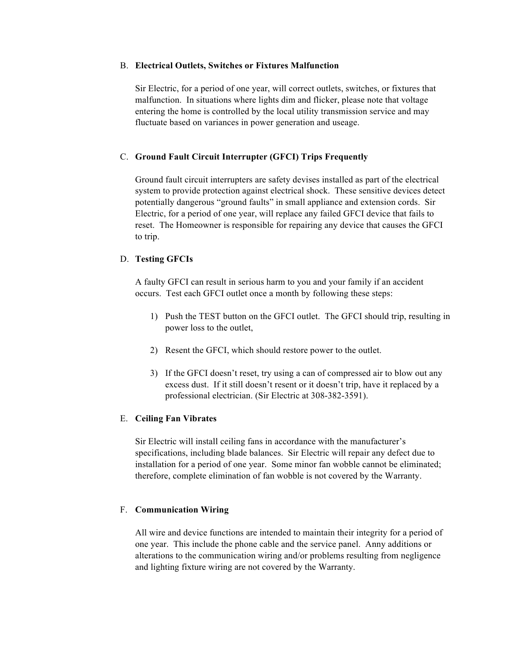#### B. **Electrical Outlets, Switches or Fixtures Malfunction**

Sir Electric, for a period of one year, will correct outlets, switches, or fixtures that malfunction. In situations where lights dim and flicker, please note that voltage entering the home is controlled by the local utility transmission service and may fluctuate based on variances in power generation and useage.

#### C. **Ground Fault Circuit Interrupter (GFCI) Trips Frequently**

Ground fault circuit interrupters are safety devises installed as part of the electrical system to provide protection against electrical shock. These sensitive devices detect potentially dangerous "ground faults" in small appliance and extension cords. Sir Electric, for a period of one year, will replace any failed GFCI device that fails to reset. The Homeowner is responsible for repairing any device that causes the GFCI to trip.

#### D. **Testing GFCIs**

A faulty GFCI can result in serious harm to you and your family if an accident occurs. Test each GFCI outlet once a month by following these steps:

- 1) Push the TEST button on the GFCI outlet. The GFCI should trip, resulting in power loss to the outlet,
- 2) Resent the GFCI, which should restore power to the outlet.
- 3) If the GFCI doesn't reset, try using a can of compressed air to blow out any excess dust. If it still doesn't resent or it doesn't trip, have it replaced by a professional electrician. (Sir Electric at 308-382-3591).

#### E. **Ceiling Fan Vibrates**

Sir Electric will install ceiling fans in accordance with the manufacturer's specifications, including blade balances. Sir Electric will repair any defect due to installation for a period of one year. Some minor fan wobble cannot be eliminated; therefore, complete elimination of fan wobble is not covered by the Warranty.

#### F. **Communication Wiring**

All wire and device functions are intended to maintain their integrity for a period of one year. This include the phone cable and the service panel. Anny additions or alterations to the communication wiring and/or problems resulting from negligence and lighting fixture wiring are not covered by the Warranty.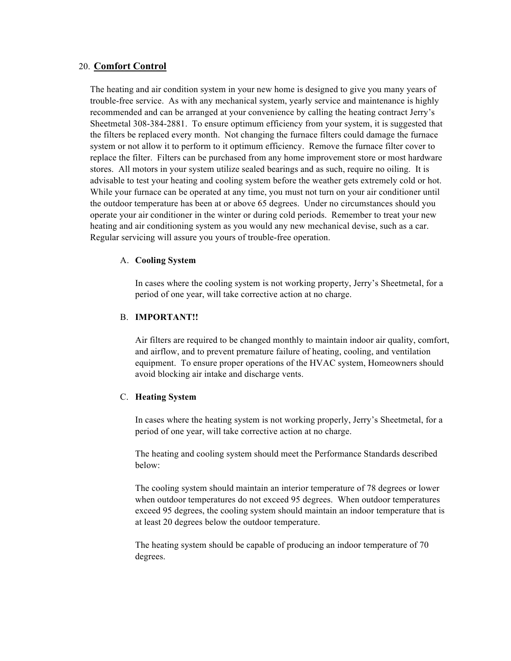# 20. **Comfort Control**

The heating and air condition system in your new home is designed to give you many years of trouble-free service. As with any mechanical system, yearly service and maintenance is highly recommended and can be arranged at your convenience by calling the heating contract Jerry's Sheetmetal 308-384-2881. To ensure optimum efficiency from your system, it is suggested that the filters be replaced every month. Not changing the furnace filters could damage the furnace system or not allow it to perform to it optimum efficiency. Remove the furnace filter cover to replace the filter. Filters can be purchased from any home improvement store or most hardware stores. All motors in your system utilize sealed bearings and as such, require no oiling. It is advisable to test your heating and cooling system before the weather gets extremely cold or hot. While your furnace can be operated at any time, you must not turn on your air conditioner until the outdoor temperature has been at or above 65 degrees. Under no circumstances should you operate your air conditioner in the winter or during cold periods. Remember to treat your new heating and air conditioning system as you would any new mechanical devise, such as a car. Regular servicing will assure you yours of trouble-free operation.

#### A. **Cooling System**

In cases where the cooling system is not working property, Jerry's Sheetmetal, for a period of one year, will take corrective action at no charge.

# B. **IMPORTANT!!**

Air filters are required to be changed monthly to maintain indoor air quality, comfort, and airflow, and to prevent premature failure of heating, cooling, and ventilation equipment. To ensure proper operations of the HVAC system, Homeowners should avoid blocking air intake and discharge vents.

#### C. **Heating System**

In cases where the heating system is not working properly, Jerry's Sheetmetal, for a period of one year, will take corrective action at no charge.

The heating and cooling system should meet the Performance Standards described below:

The cooling system should maintain an interior temperature of 78 degrees or lower when outdoor temperatures do not exceed 95 degrees. When outdoor temperatures exceed 95 degrees, the cooling system should maintain an indoor temperature that is at least 20 degrees below the outdoor temperature.

The heating system should be capable of producing an indoor temperature of 70 degrees.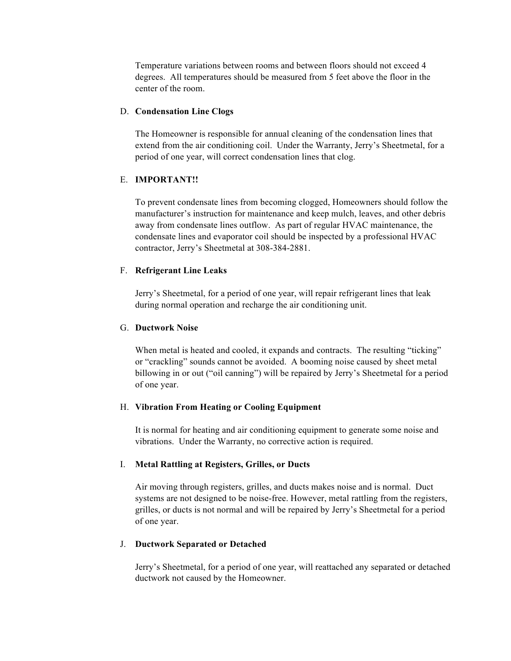Temperature variations between rooms and between floors should not exceed 4 degrees. All temperatures should be measured from 5 feet above the floor in the center of the room.

#### D. **Condensation Line Clogs**

The Homeowner is responsible for annual cleaning of the condensation lines that extend from the air conditioning coil. Under the Warranty, Jerry's Sheetmetal, for a period of one year, will correct condensation lines that clog.

#### E. **IMPORTANT!!**

To prevent condensate lines from becoming clogged, Homeowners should follow the manufacturer's instruction for maintenance and keep mulch, leaves, and other debris away from condensate lines outflow. As part of regular HVAC maintenance, the condensate lines and evaporator coil should be inspected by a professional HVAC contractor, Jerry's Sheetmetal at 308-384-2881.

#### F. **Refrigerant Line Leaks**

Jerry's Sheetmetal, for a period of one year, will repair refrigerant lines that leak during normal operation and recharge the air conditioning unit.

#### G. **Ductwork Noise**

When metal is heated and cooled, it expands and contracts. The resulting "ticking" or "crackling" sounds cannot be avoided. A booming noise caused by sheet metal billowing in or out ("oil canning") will be repaired by Jerry's Sheetmetal for a period of one year.

#### H. **Vibration From Heating or Cooling Equipment**

It is normal for heating and air conditioning equipment to generate some noise and vibrations. Under the Warranty, no corrective action is required.

#### I. **Metal Rattling at Registers, Grilles, or Ducts**

Air moving through registers, grilles, and ducts makes noise and is normal. Duct systems are not designed to be noise-free. However, metal rattling from the registers, grilles, or ducts is not normal and will be repaired by Jerry's Sheetmetal for a period of one year.

#### J. **Ductwork Separated or Detached**

Jerry's Sheetmetal, for a period of one year, will reattached any separated or detached ductwork not caused by the Homeowner.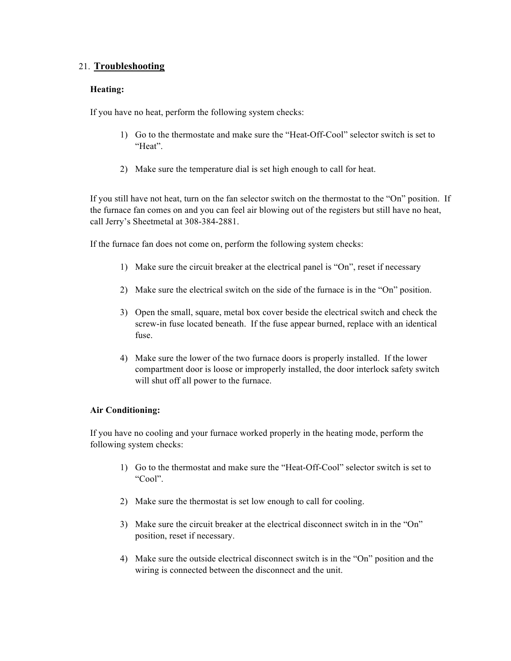# 21. **Troubleshooting**

# **Heating:**

If you have no heat, perform the following system checks:

- 1) Go to the thermostate and make sure the "Heat-Off-Cool" selector switch is set to "Heat".
- 2) Make sure the temperature dial is set high enough to call for heat.

If you still have not heat, turn on the fan selector switch on the thermostat to the "On" position. If the furnace fan comes on and you can feel air blowing out of the registers but still have no heat, call Jerry's Sheetmetal at 308-384-2881.

If the furnace fan does not come on, perform the following system checks:

- 1) Make sure the circuit breaker at the electrical panel is "On", reset if necessary
- 2) Make sure the electrical switch on the side of the furnace is in the "On" position.
- 3) Open the small, square, metal box cover beside the electrical switch and check the screw-in fuse located beneath. If the fuse appear burned, replace with an identical fuse.
- 4) Make sure the lower of the two furnace doors is properly installed. If the lower compartment door is loose or improperly installed, the door interlock safety switch will shut off all power to the furnace.

#### **Air Conditioning:**

If you have no cooling and your furnace worked properly in the heating mode, perform the following system checks:

- 1) Go to the thermostat and make sure the "Heat-Off-Cool" selector switch is set to "Cool".
- 2) Make sure the thermostat is set low enough to call for cooling.
- 3) Make sure the circuit breaker at the electrical disconnect switch in in the "On" position, reset if necessary.
- 4) Make sure the outside electrical disconnect switch is in the "On" position and the wiring is connected between the disconnect and the unit.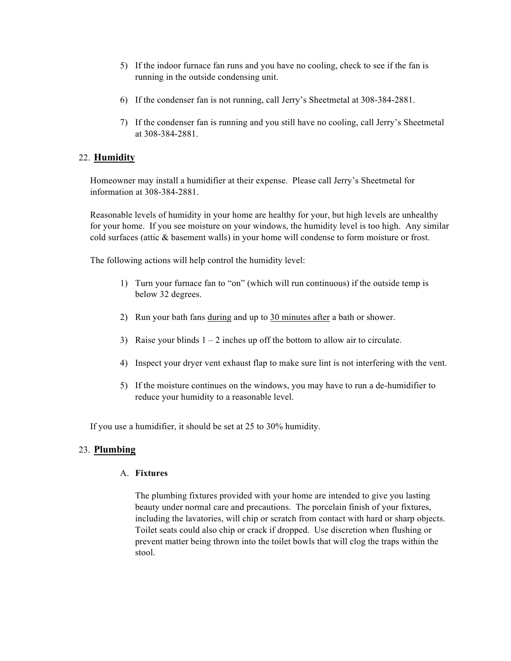- 5) If the indoor furnace fan runs and you have no cooling, check to see if the fan is running in the outside condensing unit.
- 6) If the condenser fan is not running, call Jerry's Sheetmetal at 308-384-2881.
- 7) If the condenser fan is running and you still have no cooling, call Jerry's Sheetmetal at 308-384-2881.

# 22. **Humidity**

Homeowner may install a humidifier at their expense. Please call Jerry's Sheetmetal for information at 308-384-2881.

Reasonable levels of humidity in your home are healthy for your, but high levels are unhealthy for your home. If you see moisture on your windows, the humidity level is too high. Any similar cold surfaces (attic & basement walls) in your home will condense to form moisture or frost.

The following actions will help control the humidity level:

- 1) Turn your furnace fan to "on" (which will run continuous) if the outside temp is below 32 degrees.
- 2) Run your bath fans during and up to 30 minutes after a bath or shower.
- 3) Raise your blinds  $1 2$  inches up off the bottom to allow air to circulate.
- 4) Inspect your dryer vent exhaust flap to make sure lint is not interfering with the vent.
- 5) If the moisture continues on the windows, you may have to run a de-humidifier to reduce your humidity to a reasonable level.

If you use a humidifier, it should be set at 25 to 30% humidity.

# 23. **Plumbing**

# A. **Fixtures**

The plumbing fixtures provided with your home are intended to give you lasting beauty under normal care and precautions. The porcelain finish of your fixtures, including the lavatories, will chip or scratch from contact with hard or sharp objects. Toilet seats could also chip or crack if dropped. Use discretion when flushing or prevent matter being thrown into the toilet bowls that will clog the traps within the stool.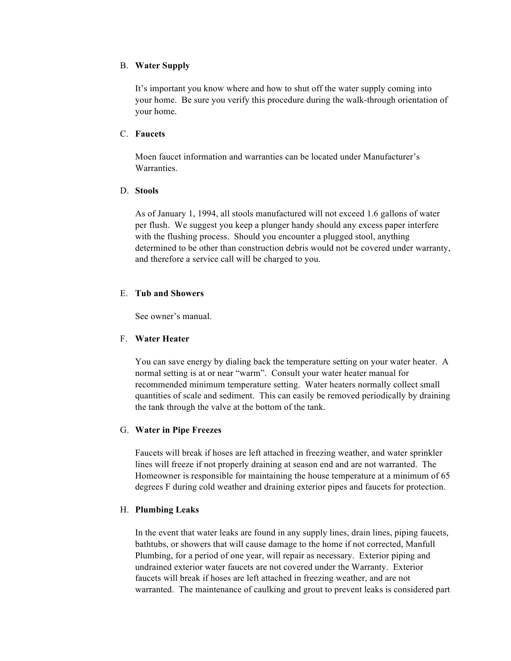#### B. **Water Supply**

It's important you know where and how to shut off the water supply coming into your home. Be sure you verify this procedure during the walk-through orientation of your home.

#### C. **Faucets**

Moen faucet information and warranties can be located under Manufacturer's **Warranties** 

#### D. **Stools**

As of January 1, 1994, all stools manufactured will not exceed 1.6 gallons of water per flush. We suggest you keep a plunger handy should any excess paper interfere with the flushing process. Should you encounter a plugged stool, anything determined to be other than construction debris would not be covered under warranty, and therefore a service call will be charged to you.

# E. **Tub and Showers**

See owner's manual.

#### F. **Water Heater**

You can save energy by dialing back the temperature setting on your water heater. A normal setting is at or near "warm". Consult your water heater manual for recommended minimum temperature setting. Water heaters normally collect small quantities of scale and sediment. This can easily be removed periodically by draining the tank through the valve at the bottom of the tank.

#### G. **Water in Pipe Freezes**

Faucets will break if hoses are left attached in freezing weather, and water sprinkler lines will freeze if not properly draining at season end and are not warranted. The Homeowner is responsible for maintaining the house temperature at a minimum of 65 degrees F during cold weather and draining exterior pipes and faucets for protection.

#### H. **Plumbing Leaks**

In the event that water leaks are found in any supply lines, drain lines, piping faucets, bathtubs, or showers that will cause damage to the home if not corrected, Manfull Plumbing, for a period of one year, will repair as necessary. Exterior piping and undrained exterior water faucets are not covered under the Warranty. Exterior faucets will break if hoses are left attached in freezing weather, and are not warranted. The maintenance of caulking and grout to prevent leaks is considered part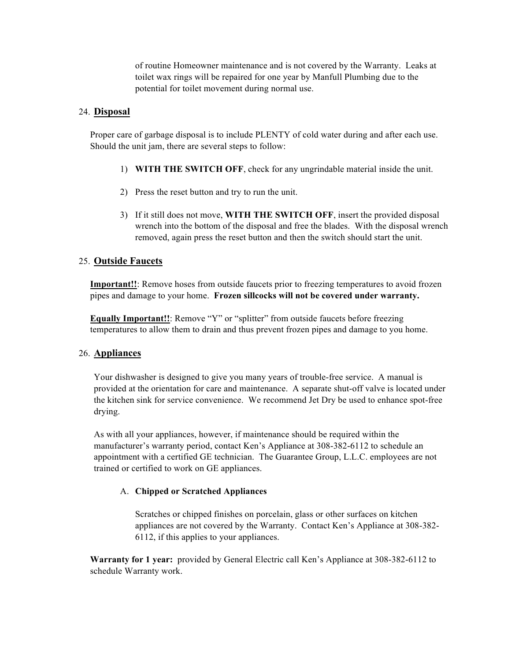of routine Homeowner maintenance and is not covered by the Warranty. Leaks at toilet wax rings will be repaired for one year by Manfull Plumbing due to the potential for toilet movement during normal use.

# 24. **Disposal**

Proper care of garbage disposal is to include PLENTY of cold water during and after each use. Should the unit jam, there are several steps to follow:

- 1) **WITH THE SWITCH OFF**, check for any ungrindable material inside the unit.
- 2) Press the reset button and try to run the unit.
- 3) If it still does not move, **WITH THE SWITCH OFF**, insert the provided disposal wrench into the bottom of the disposal and free the blades. With the disposal wrench removed, again press the reset button and then the switch should start the unit.

# 25. **Outside Faucets**

**Important!!**: Remove hoses from outside faucets prior to freezing temperatures to avoid frozen pipes and damage to your home. **Frozen sillcocks will not be covered under warranty.**

**Equally Important!!**: Remove "Y" or "splitter" from outside faucets before freezing temperatures to allow them to drain and thus prevent frozen pipes and damage to you home.

# 26. **Appliances**

Your dishwasher is designed to give you many years of trouble-free service. A manual is provided at the orientation for care and maintenance. A separate shut-off valve is located under the kitchen sink for service convenience. We recommend Jet Dry be used to enhance spot-free drying.

As with all your appliances, however, if maintenance should be required within the manufacturer's warranty period, contact Ken's Appliance at 308-382-6112 to schedule an appointment with a certified GE technician. The Guarantee Group, L.L.C. employees are not trained or certified to work on GE appliances.

# A. **Chipped or Scratched Appliances**

Scratches or chipped finishes on porcelain, glass or other surfaces on kitchen appliances are not covered by the Warranty. Contact Ken's Appliance at 308-382- 6112, if this applies to your appliances.

**Warranty for 1 year:** provided by General Electric call Ken's Appliance at 308-382-6112 to schedule Warranty work.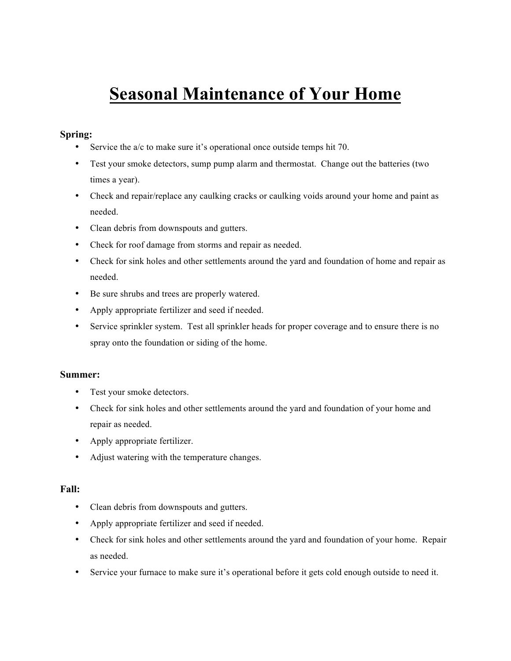# **Seasonal Maintenance of Your Home**

# **Spring:**

- Service the a/c to make sure it's operational once outside temps hit 70.
- Test your smoke detectors, sump pump alarm and thermostat. Change out the batteries (two times a year).
- Check and repair/replace any caulking cracks or caulking voids around your home and paint as needed.
- Clean debris from downspouts and gutters.
- Check for roof damage from storms and repair as needed.
- Check for sink holes and other settlements around the yard and foundation of home and repair as needed.
- Be sure shrubs and trees are properly watered.
- Apply appropriate fertilizer and seed if needed.
- Service sprinkler system. Test all sprinkler heads for proper coverage and to ensure there is no spray onto the foundation or siding of the home.

#### **Summer:**

- Test your smoke detectors.
- Check for sink holes and other settlements around the yard and foundation of your home and repair as needed.
- Apply appropriate fertilizer.
- Adjust watering with the temperature changes.

#### **Fall:**

- Clean debris from downspouts and gutters.
- Apply appropriate fertilizer and seed if needed.
- Check for sink holes and other settlements around the yard and foundation of your home. Repair as needed.
- Service your furnace to make sure it's operational before it gets cold enough outside to need it.